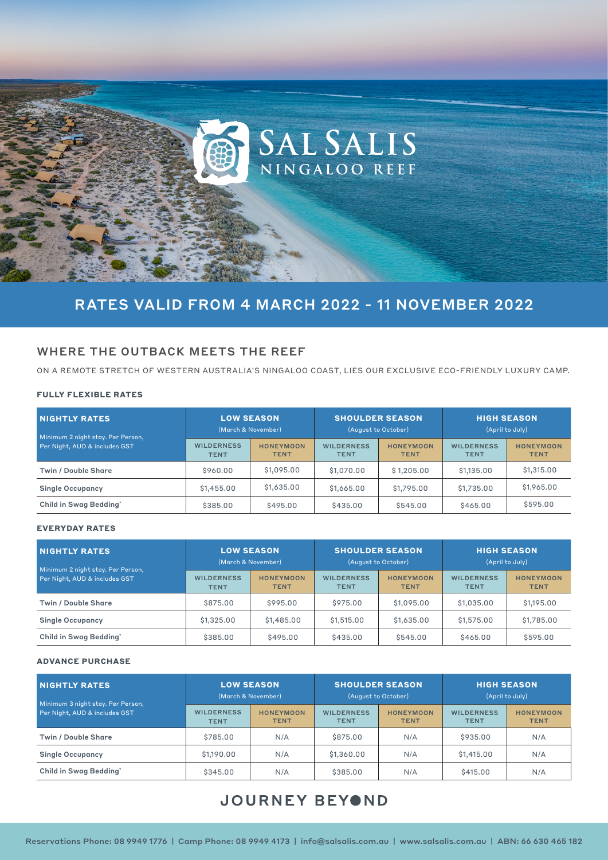

# RATES VALID FROM 4 MARCH 2022 - 11 NOVEMBER 2022

# WHERE THE OUTBACK MEETS THE REEF

ON A REMOTE STRETCH OF WESTERN AUSTRALIA'S NINGALOO COAST, LIES OUR EXCLUSIVE ECO-FRIENDLY LUXURY CAMP.

## **FULLY FLEXIBLE RATES**

| <b>NIGHTLY RATES</b><br>Minimum 2 night stay. Per Person, | <b>LOW SEASON</b><br>(March & November) |                                 | <b>SHOULDER SEASON</b><br>(August to October) |                                 | <b>HIGH SEASON</b><br>(April to July) |                                 |
|-----------------------------------------------------------|-----------------------------------------|---------------------------------|-----------------------------------------------|---------------------------------|---------------------------------------|---------------------------------|
| Per Night, AUD & includes GST                             | <b>WILDERNESS</b><br><b>TENT</b>        | <b>HONEYMOON</b><br><b>TENT</b> | <b>WILDERNESS</b><br><b>TENT</b>              | <b>HONEYMOON</b><br><b>TENT</b> | <b>WILDERNESS</b><br><b>TENT</b>      | <b>HONEYMOON</b><br><b>TENT</b> |
| Twin / Double Share                                       | \$960.00                                | \$1,095.00                      | \$1,070.00                                    | \$1,205.00                      | \$1,135.00                            | \$1,315.00                      |
| <b>Single Occupancy</b>                                   | \$1,455.00                              | \$1,635.00                      | \$1,665.00                                    | \$1,795,00                      | \$1,735.00                            | \$1,965.00                      |
| Child in Swag Bedding*                                    | \$385,00                                | \$495,00                        | \$435,00                                      | \$545,00                        | \$465,00                              | \$595,00                        |

## **EVERYDAY RATES**

| <b>NIGHTLY RATES</b><br>Minimum 2 night stay. Per Person, | <b>LOW SEASON</b><br>(March & November) |                                 | <b>SHOULDER SEASON</b><br>(August to October) |                                 | <b>HIGH SEASON</b><br>(April to July) |                                 |
|-----------------------------------------------------------|-----------------------------------------|---------------------------------|-----------------------------------------------|---------------------------------|---------------------------------------|---------------------------------|
| Per Night, AUD & includes GST                             | <b>WILDERNESS</b><br><b>TENT</b>        | <b>HONEYMOON</b><br><b>TENT</b> | <b>WILDERNESS</b><br><b>TENT</b>              | <b>HONEYMOON</b><br><b>TENT</b> | <b>WILDERNESS</b><br><b>TENT</b>      | <b>HONEYMOON</b><br><b>TENT</b> |
| <b>Twin / Double Share</b>                                | \$875,00                                | \$995,00                        | \$975,00                                      | \$1,095,00                      | \$1,035.00                            | \$1,195.00                      |
| <b>Single Occupancy</b>                                   | \$1,325,00                              | \$1,485.00                      | \$1,515.00                                    | \$1,635.00                      | \$1,575,00                            | \$1,785.00                      |
| Child in Swag Bedding*                                    | \$385,00                                | \$495,00                        | \$435,00                                      | \$545.00                        | \$465,00                              | \$595,00                        |

### **ADVANCE PURCHASE**

| <b>NIGHTLY RATES</b><br>Minimum 3 night stay. Per Person,<br>Per Night, AUD & includes GST | <b>LOW SEASON</b><br>(March & November) |                                 | <b>SHOULDER SEASON</b><br>(August to October) |                                 | <b>HIGH SEASON</b><br>(April to July) |                                 |
|--------------------------------------------------------------------------------------------|-----------------------------------------|---------------------------------|-----------------------------------------------|---------------------------------|---------------------------------------|---------------------------------|
|                                                                                            | <b>WILDERNESS</b><br><b>TENT</b>        | <b>HONEYMOON</b><br><b>TENT</b> | <b>WILDERNESS</b><br><b>TENT</b>              | <b>HONEYMOON</b><br><b>TENT</b> | <b>WILDERNESS</b><br><b>TENT</b>      | <b>HONEYMOON</b><br><b>TENT</b> |
| <b>Twin / Double Share</b>                                                                 | \$785,00                                | N/A                             | \$875,00                                      | N/A                             | \$935,00                              | N/A                             |
| <b>Single Occupancy</b>                                                                    | \$1,190.00                              | N/A                             | \$1,360.00                                    | N/A                             | \$1,415.00                            | N/A                             |
| Child in Swag Bedding*                                                                     | \$345,00                                | N/A                             | \$385,00                                      | N/A                             | \$415,00                              | N/A                             |

# JOURNEY BEYOND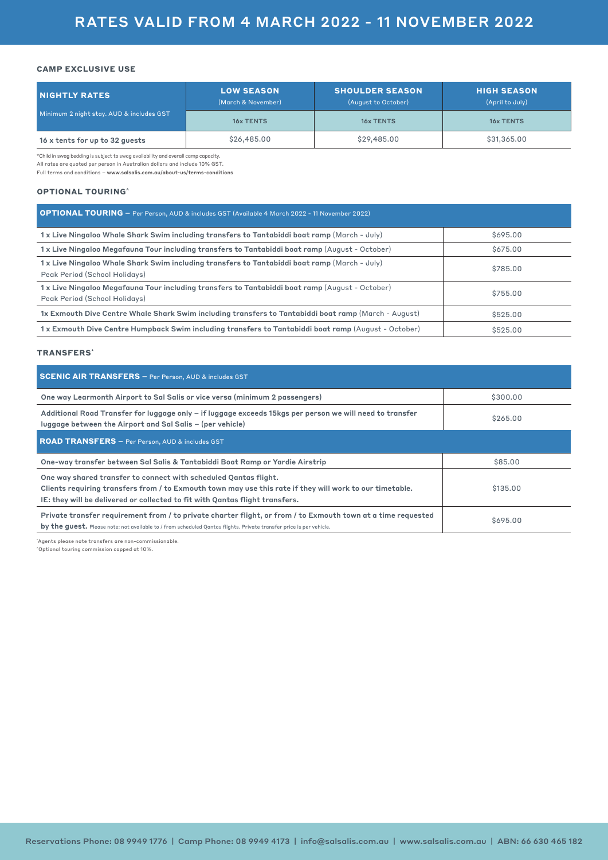## **CAMP EXCLUSIVE USE**

| <b>NIGHTLY RATES</b>                     | <b>LOW SEASON</b><br>(March & November) | <b>SHOULDER SEASON</b><br>(August to October) | <b>HIGH SEASON</b><br>(April to July) |  |
|------------------------------------------|-----------------------------------------|-----------------------------------------------|---------------------------------------|--|
| Minimum 2 night stay. AUD & includes GST | <b>16x TENTS</b>                        | <b>16x TENTS</b>                              | <b>16x TENTS</b>                      |  |
| 16 x tents for up to 32 quests           | \$26,485.00                             | \$29,485.00                                   | \$31,365.00                           |  |

\*Child in swag bedding is subject to swag availability and overall camp capacity.

All rates are quoted per person in Australian dollars and include 10% GST.

Full terms and conditions – www.salsalis.com.au/about-us/terms-conditions

### **OPTIONAL TOURING^**

| <b>OPTIONAL TOURING -</b> Per Person, AUD & includes GST (Available 4 March 2022 - 11 November 2022)                            |          |
|---------------------------------------------------------------------------------------------------------------------------------|----------|
| 1x Live Ningaloo Whale Shark Swim including transfers to Tantabiddi boat ramp (March - July)                                    | \$695,00 |
| 1x Live Ningaloo Megafauna Tour including transfers to Tantabiddi boat ramp (August - October)                                  | \$675,00 |
| 1x Live Ningaloo Whale Shark Swim including transfers to Tantabiddi boat ramp (March - July)<br>Peak Period (School Holidays)   | \$785,00 |
| 1x Live Ningaloo Megafauna Tour including transfers to Tantabiddi boat ramp (August - October)<br>Peak Period (School Holidays) | \$755,00 |
| 1x Exmouth Dive Centre Whale Shark Swim including transfers to Tantabiddi boat ramp (March - August)                            | \$525,00 |
| 1x Exmouth Dive Centre Humpback Swim including transfers to Tantabiddi boat ramp (August - October)                             | \$525,00 |

## **TRANSFERS\***

| <b>SCENIC AIR TRANSFERS</b> - Per Person, AUD & includes GST                                                                                                                                                                                                 |          |  |  |  |
|--------------------------------------------------------------------------------------------------------------------------------------------------------------------------------------------------------------------------------------------------------------|----------|--|--|--|
| One way Learmonth Airport to Sal Salis or vice versa (minimum 2 passengers)                                                                                                                                                                                  | \$300.00 |  |  |  |
| Additional Road Transfer for luggage only – if luggage exceeds 15kgs per person we will need to transfer<br>luggage between the Airport and Sal Salis - (per vehicle)                                                                                        | \$265,00 |  |  |  |
| <b>ROAD TRANSFERS - Per Person, AUD &amp; includes GST</b>                                                                                                                                                                                                   |          |  |  |  |
| One-way transfer between Sal Salis & Tantabiddi Boat Ramp or Yardie Airstrip                                                                                                                                                                                 | \$85.00  |  |  |  |
| One way shared transfer to connect with scheduled Qantas flight.<br>Clients requiring transfers from / to Exmouth town may use this rate if they will work to our timetable.<br>IE: they will be delivered or collected to fit with Qantas flight transfers. | \$135,00 |  |  |  |
| Private transfer requirement from / to private charter flight, or from / to Exmouth town at a time requested<br>by the quest. Please note: not available to / from scheduled Qantas flights. Private transfer price is per vehicle.                          | \$695,00 |  |  |  |

\* Agents please note transfers are non-commissionable.  $^\circ$ Optional touring commission capped at 10%.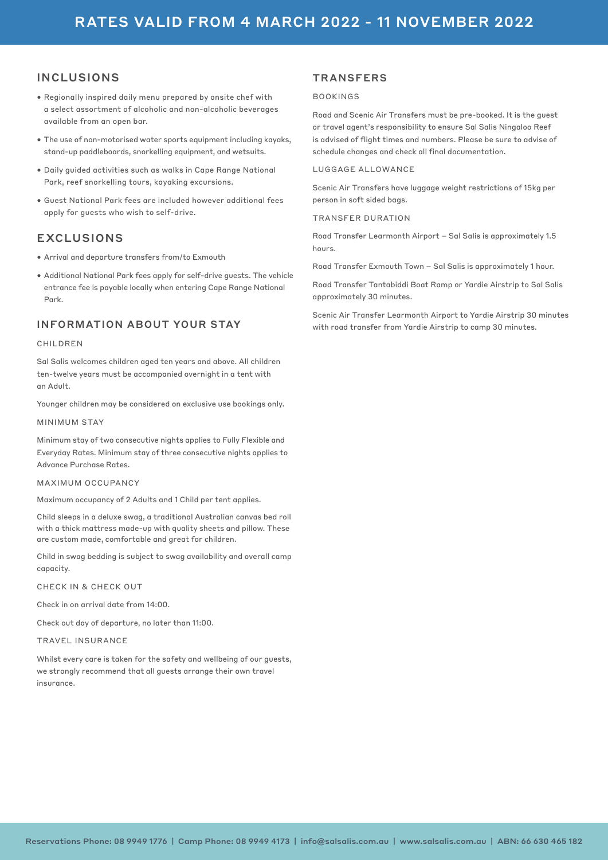# INCLUSIONS

- Regionally inspired daily menu prepared by onsite chef with a select assortment of alcoholic and non-alcoholic beverages available from an open bar.
- The use of non-motorised water sports equipment including kayaks, stand-up paddleboards, snorkelling equipment, and wetsuits.
- Daily guided activities such as walks in Cape Range National Park, reef snorkelling tours, kayaking excursions.
- Guest National Park fees are included however additional fees apply for guests who wish to self-drive.

# EXCLUSIONS

- Arrival and departure transfers from/to Exmouth
- Additional National Park fees apply for self-drive guests. The vehicle entrance fee is payable locally when entering Cape Range National Park.

# INFORMATION ABOUT YOUR STAY

# **CHILDRFN**

Sal Salis welcomes children aged ten years and above. All children ten-twelve years must be accompanied overnight in a tent with an Adult.

Younger children may be considered on exclusive use bookings only.

MINIMUM STAY

Minimum stay of two consecutive nights applies to Fully Flexible and Everyday Rates. Minimum stay of three consecutive nights applies to Advance Purchase Rates.

MAXIMUM OCCUPANCY

Maximum occupancy of 2 Adults and 1 Child per tent applies.

Child sleeps in a deluxe swag, a traditional Australian canvas bed roll with a thick mattress made-up with quality sheets and pillow. These are custom made, comfortable and great for children.

Child in swag bedding is subject to swag availability and overall camp capacity.

CHECK IN & CHECK OUT

Check in on arrival date from 14:00.

Check out day of departure, no later than 11:00.

TRAVEL INSURANCE

Whilst every care is taken for the safety and wellbeing of our guests, we strongly recommend that all guests arrange their own travel insurance.

# **TRANSFERS**

# BOOKINGS

Road and Scenic Air Transfers must be pre-booked. It is the guest or travel agent's responsibility to ensure Sal Salis Ningaloo Reef is advised of flight times and numbers. Please be sure to advise of schedule changes and check all final documentation.

### LUGGAGE ALLOWANCE

Scenic Air Transfers have luggage weight restrictions of 15kg per person in soft sided bags.

### TRANSFER DURATION

Road Transfer Learmonth Airport – Sal Salis is approximately 1.5 hours.

Road Transfer Exmouth Town – Sal Salis is approximately 1 hour.

Road Transfer Tantabiddi Boat Ramp or Yardie Airstrip to Sal Salis approximately 30 minutes.

Scenic Air Transfer Learmonth Airport to Yardie Airstrip 30 minutes with road transfer from Yardie Airstrip to camp 30 minutes.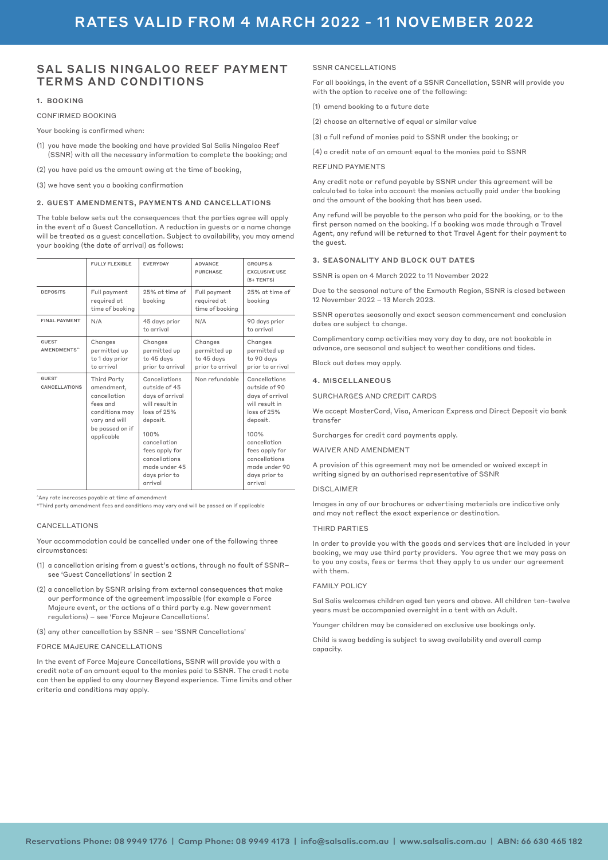# SAL SALIS NINGALOO REEF PAYMENT TERMS AND CONDITIONS

#### 1. BOOKING

#### CONFIRMED BOOKING

Your booking is confirmed when:

- (1) you have made the booking and have provided Sal Salis Ningaloo Reef (SSNR) with all the necessary information to complete the booking; and
- (2) you have paid us the amount owing at the time of booking,
- (3) we have sent you a booking confirmation

#### 2. GUEST AMENDMENTS, PAYMENTS AND CANCELLATIONS

The table below sets out the consequences that the parties agree will apply in the event of a Guest Cancellation. A reduction in guests or a name change will be treated as a guest cancellation. Subject to availability, you may amend your booking (the date of arrival) as follows:

|                                      | <b>FULLY FLEXIBLE</b>                                                                                                     | <b>EVERYDAY</b>                                                                                                                                                                                        | <b>ADVANCE</b><br><b>PURCHASE</b>                         | <b>GROUPS &amp;</b><br><b>EXCLUSIVE USE</b><br>$(5+TENTS)$                                                                                                                                             |
|--------------------------------------|---------------------------------------------------------------------------------------------------------------------------|--------------------------------------------------------------------------------------------------------------------------------------------------------------------------------------------------------|-----------------------------------------------------------|--------------------------------------------------------------------------------------------------------------------------------------------------------------------------------------------------------|
| <b>DEPOSITS</b>                      | Full payment<br>required at<br>time of booking                                                                            | 25% at time of<br>booking                                                                                                                                                                              | Full payment<br>required at<br>time of booking            | 25% at time of<br>booking                                                                                                                                                                              |
| <b>FINAL PAYMENT</b>                 | N/A                                                                                                                       | 45 days prior<br>to arrival                                                                                                                                                                            | N/A                                                       | 90 days prior<br>to arrival                                                                                                                                                                            |
| <b>GUEST</b><br><b>AMENDMENTS</b> "  | Changes<br>permitted up<br>to 1 day prior<br>to arrival                                                                   | Changes<br>permitted up<br>to 45 days<br>prior to arrival                                                                                                                                              | Changes<br>permitted up<br>to 45 days<br>prior to arrival | Changes<br>permitted up<br>to 90 days<br>prior to arrival                                                                                                                                              |
| <b>GUEST</b><br><b>CANCELLATIONS</b> | Third Party<br>amendment,<br>cancellation<br>fees and<br>conditions may<br>vary and will<br>be passed on if<br>applicable | Cancellations<br>outside of 45<br>days of arrival<br>will result in<br>loss of 25%<br>deposit.<br>100%<br>cancellation<br>fees apply for<br>cancellations<br>made under 45<br>days prior to<br>arrival | Non refundable                                            | Cancellations<br>outside of 90<br>davs of arrival<br>will result in<br>loss of 25%<br>deposit.<br>100%<br>cancellation<br>fees apply for<br>cancellations<br>made under 90<br>days prior to<br>arrival |

^Any rate increases payable at time of amendment

\*Third party amendment fees and conditions may vary and will be passed on if applicable

#### CANCELLATIONS

Your accommodation could be cancelled under one of the following three circumstances:

- (1) a cancellation arising from a guest's actions, through no fault of SSNR– see 'Guest Cancellations' in section 2
- (2) a cancellation by SSNR arising from external consequences that make our performance of the agreement impossible (for example a Force Majeure event, or the actions of a third party e.g. New government regulations) – see 'Force Majeure Cancellations'.
- (3) any other cancellation by SSNR see 'SSNR Cancellations'

#### FORCE MAJEURE CANCELLATIONS

In the event of Force Majeure Cancellations, SSNR will provide you with a credit note of an amount equal to the monies paid to SSNR. The credit note can then be applied to any Journey Beyond experience. Time limits and other criteria and conditions may apply.

#### SSNR CANCELLATIONS

For all bookings, in the event of a SSNR Cancellation, SSNR will provide you with the option to receive one of the following:

- (1) amend booking to a future date
- (2) choose an alternative of equal or similar value
- (3) a full refund of monies paid to SSNR under the booking; or
- (4) a credit note of an amount equal to the monies paid to SSNR

#### REFUND PAYMENTS

Any credit note or refund payable by SSNR under this agreement will be calculated to take into account the monies actually paid under the booking and the amount of the booking that has been used.

Any refund will be payable to the person who paid for the booking, or to the first person named on the booking. If a booking was made through a Travel Agent, any refund will be returned to that Travel Agent for their payment to the guest.

#### 3. SEASONALITY AND BLOCK OUT DATES

SSNR is open on 4 March 2022 to 11 November 2022

Due to the seasonal nature of the Exmouth Region, SSNR is closed between 12 November 2022 – 13 March 2023.

SSNR operates seasonally and exact season commencement and conclusion dates are subject to change.

Complimentary camp activities may vary day to day, are not bookable in advance, are seasonal and subject to weather conditions and tides.

Block out dates may apply.

#### 4. MISCELLANEOUS

SURCHARGES AND CREDIT CARDS

We accept MasterCard, Visa, American Express and Direct Deposit via bank transfer

Surcharges for credit card payments apply.

WAIVER AND AMENDMENT

A provision of this agreement may not be amended or waived except in writing signed by an authorised representative of SSNR

#### DISCLAIMER

Images in any of our brochures or advertising materials are indicative only and may not reflect the exact experience or destination.

#### THIRD PARTIES

In order to provide you with the goods and services that are included in your booking, we may use third party providers. You agree that we may pass on to you any costs, fees or terms that they apply to us under our agreement with them.

#### FAMILY POLICY

Sal Salis welcomes children aged ten years and above. All children ten-twelve years must be accompanied overnight in a tent with an Adult.

Younger children may be considered on exclusive use bookings only.

Child is swag bedding is subject to swag availability and overall camp capacity.